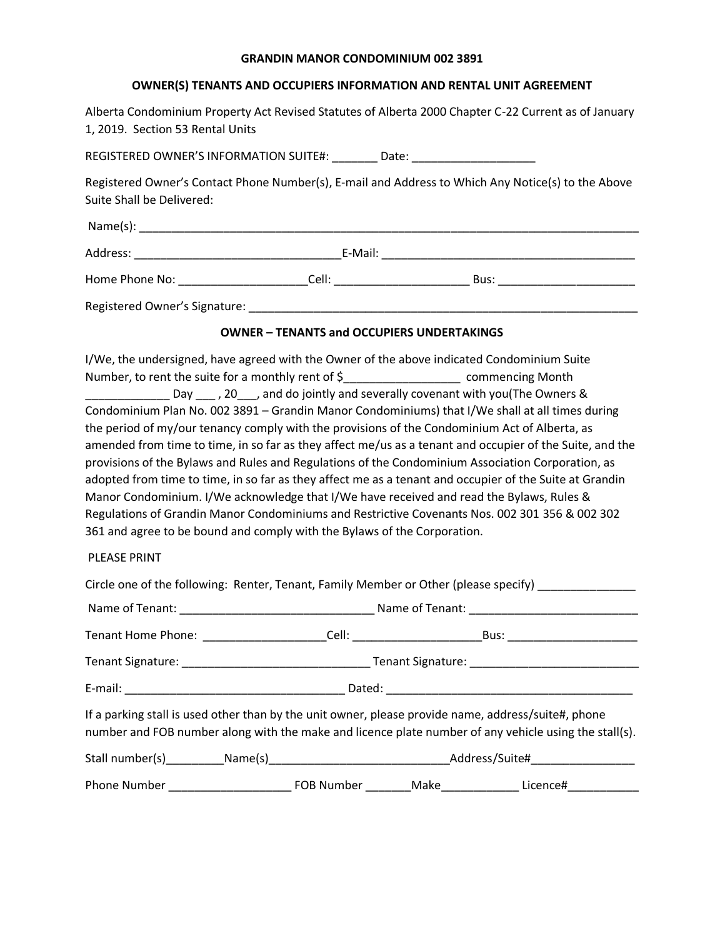#### **GRANDIN MANOR CONDOMINIUM 002 3891**

### **OWNER(S) TENANTS AND OCCUPIERS INFORMATION AND RENTAL UNIT AGREEMENT**

Alberta Condominium Property Act Revised Statutes of Alberta 2000 Chapter C-22 Current as of January 1, 2019. Section 53 Rental Units

REGISTERED OWNER'S INFORMATION SUITE#: \_\_\_\_\_\_\_\_ Date: \_\_\_\_\_\_\_\_\_\_\_\_\_\_\_\_\_\_\_\_\_\_\_\_\_\_

Registered Owner's Contact Phone Number(s), E-mail and Address to Which Any Notice(s) to the Above Suite Shall be Delivered:

| Name(s):       |         |      |
|----------------|---------|------|
| Address:       | E-Mail: |      |
| Home Phone No: | Cell:   | Bus: |

Registered Owner's Signature: \_\_\_\_\_\_\_\_\_\_\_\_\_\_\_\_\_\_\_\_\_\_\_\_\_\_\_\_\_\_\_\_\_\_\_\_\_\_\_\_\_\_\_\_\_\_\_\_\_\_\_\_\_\_\_\_\_\_\_\_

#### **OWNER – TENANTS and OCCUPIERS UNDERTAKINGS**

I/We, the undersigned, have agreed with the Owner of the above indicated Condominium Suite Number, to rent the suite for a monthly rent of \$\_\_\_\_\_\_\_\_\_\_\_\_\_\_\_\_\_\_\_\_\_\_\_\_\_\_\_\_\_\_\_ commencing Month Lay Lecting 20 and do jointly and severally covenant with you(The Owners & Condominium Plan No. 002 3891 – Grandin Manor Condominiums) that I/We shall at all times during the period of my/our tenancy comply with the provisions of the Condominium Act of Alberta, as amended from time to time, in so far as they affect me/us as a tenant and occupier of the Suite, and the provisions of the Bylaws and Rules and Regulations of the Condominium Association Corporation, as adopted from time to time, in so far as they affect me as a tenant and occupier of the Suite at Grandin Manor Condominium. I/We acknowledge that I/We have received and read the Bylaws, Rules & Regulations of Grandin Manor Condominiums and Restrictive Covenants Nos. 002 301 356 & 002 302 361 and agree to be bound and comply with the Bylaws of the Corporation.

#### PLEASE PRINT

| Circle one of the following: Renter, Tenant, Family Member or Other (please specify) ______________                                                                                                          |  |  |  |  |  |
|--------------------------------------------------------------------------------------------------------------------------------------------------------------------------------------------------------------|--|--|--|--|--|
|                                                                                                                                                                                                              |  |  |  |  |  |
| Tenant Home Phone: _______________________Cell: _________________________Bus: ______________________                                                                                                         |  |  |  |  |  |
|                                                                                                                                                                                                              |  |  |  |  |  |
|                                                                                                                                                                                                              |  |  |  |  |  |
| If a parking stall is used other than by the unit owner, please provide name, address/suite#, phone<br>number and FOB number along with the make and licence plate number of any vehicle using the stall(s). |  |  |  |  |  |
|                                                                                                                                                                                                              |  |  |  |  |  |
| Phone Number __________________________________FOB Number ____________Make___________________Licence#____________                                                                                            |  |  |  |  |  |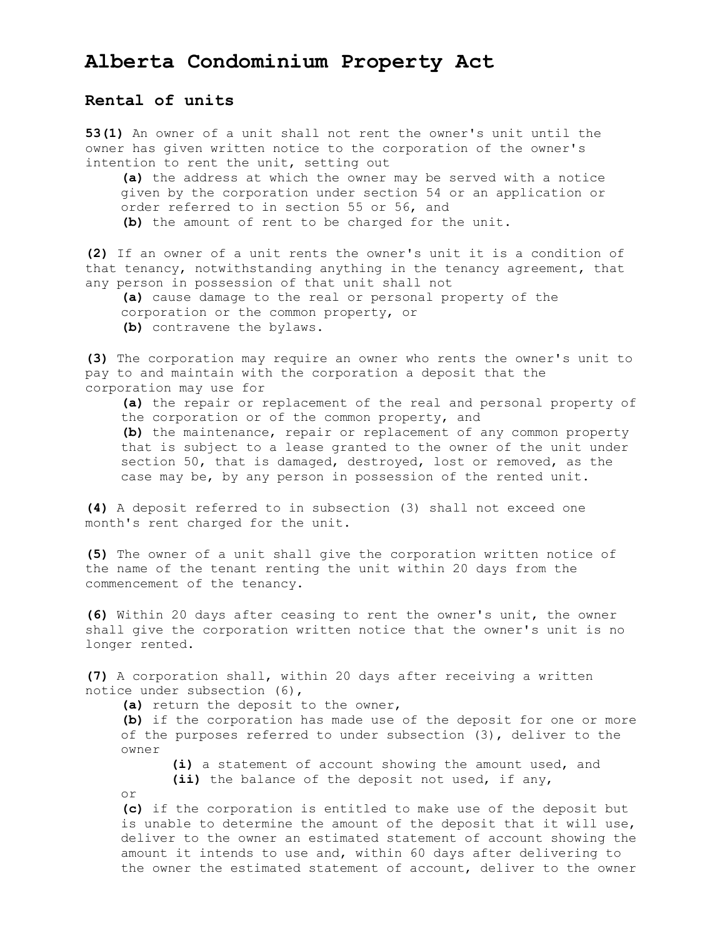# **Alberta Condominium Property Act**

# **Rental of units**

**53(1)** An owner of a unit shall not rent the owner's unit until the owner has given written notice to the corporation of the owner's intention to rent the unit, setting out

**(a)** the address at which the owner may be served with a notice given by the corporation under section 54 or an application or order referred to in section 55 or 56, and **(b)** the amount of rent to be charged for the unit.

**(2)** If an owner of a unit rents the owner's unit it is a condition of that tenancy, notwithstanding anything in the tenancy agreement, that any person in possession of that unit shall not

**(a)** cause damage to the real or personal property of the corporation or the common property, or **(b)** contravene the bylaws.

**(3)** The corporation may require an owner who rents the owner's unit to pay to and maintain with the corporation a deposit that the corporation may use for

**(a)** the repair or replacement of the real and personal property of the corporation or of the common property, and **(b)** the maintenance, repair or replacement of any common property that is subject to a lease granted to the owner of the unit under section 50, that is damaged, destroyed, lost or removed, as the case may be, by any person in possession of the rented unit.

**(4)** A deposit referred to in subsection (3) shall not exceed one month's rent charged for the unit.

**(5)** The owner of a unit shall give the corporation written notice of the name of the tenant renting the unit within 20 days from the commencement of the tenancy.

**(6)** Within 20 days after ceasing to rent the owner's unit, the owner shall give the corporation written notice that the owner's unit is no longer rented.

**(7)** A corporation shall, within 20 days after receiving a written notice under subsection (6),

**(a)** return the deposit to the owner,

**(b)** if the corporation has made use of the deposit for one or more of the purposes referred to under subsection (3), deliver to the owner

**(i)** a statement of account showing the amount used, and **(ii)** the balance of the deposit not used, if any,

or

**(c)** if the corporation is entitled to make use of the deposit but is unable to determine the amount of the deposit that it will use, deliver to the owner an estimated statement of account showing the amount it intends to use and, within 60 days after delivering to the owner the estimated statement of account, deliver to the owner